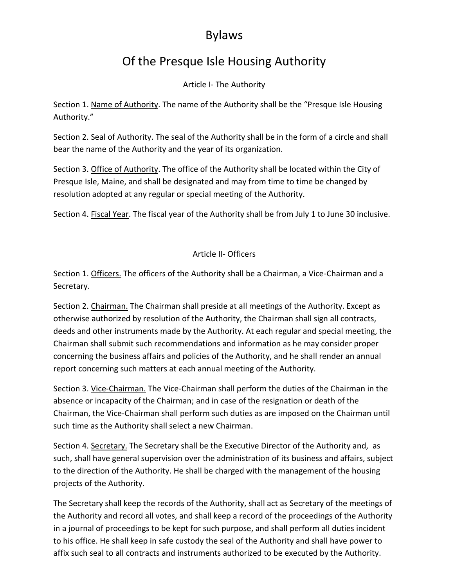## Bylaws

## Of the Presque Isle Housing Authority

Article I- The Authority

Section 1. Name of Authority. The name of the Authority shall be the "Presque Isle Housing Authority."

Section 2. Seal of Authority. The seal of the Authority shall be in the form of a circle and shall bear the name of the Authority and the year of its organization.

Section 3. Office of Authority. The office of the Authority shall be located within the City of Presque Isle, Maine, and shall be designated and may from time to time be changed by resolution adopted at any regular or special meeting of the Authority.

Section 4. Fiscal Year. The fiscal year of the Authority shall be from July 1 to June 30 inclusive.

## Article II- Officers

Section 1. Officers. The officers of the Authority shall be a Chairman, a Vice-Chairman and a Secretary.

Section 2. Chairman. The Chairman shall preside at all meetings of the Authority. Except as otherwise authorized by resolution of the Authority, the Chairman shall sign all contracts, deeds and other instruments made by the Authority. At each regular and special meeting, the Chairman shall submit such recommendations and information as he may consider proper concerning the business affairs and policies of the Authority, and he shall render an annual report concerning such matters at each annual meeting of the Authority.

Section 3. Vice-Chairman. The Vice-Chairman shall perform the duties of the Chairman in the absence or incapacity of the Chairman; and in case of the resignation or death of the Chairman, the Vice-Chairman shall perform such duties as are imposed on the Chairman until such time as the Authority shall select a new Chairman.

Section 4. Secretary. The Secretary shall be the Executive Director of the Authority and, as such, shall have general supervision over the administration of its business and affairs, subject to the direction of the Authority. He shall be charged with the management of the housing projects of the Authority.

The Secretary shall keep the records of the Authority, shall act as Secretary of the meetings of the Authority and record all votes, and shall keep a record of the proceedings of the Authority in a journal of proceedings to be kept for such purpose, and shall perform all duties incident to his office. He shall keep in safe custody the seal of the Authority and shall have power to affix such seal to all contracts and instruments authorized to be executed by the Authority.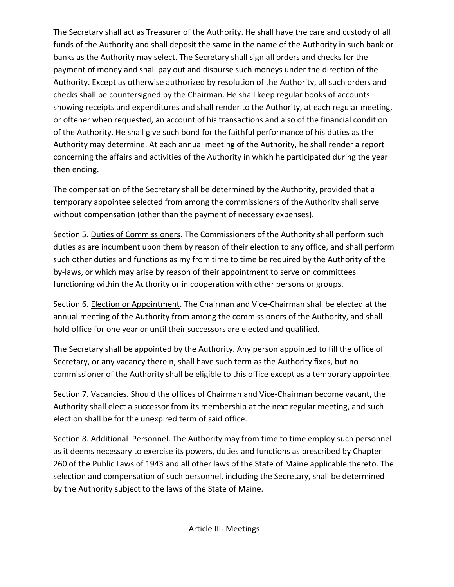The Secretary shall act as Treasurer of the Authority. He shall have the care and custody of all funds of the Authority and shall deposit the same in the name of the Authority in such bank or banks as the Authority may select. The Secretary shall sign all orders and checks for the payment of money and shall pay out and disburse such moneys under the direction of the Authority. Except as otherwise authorized by resolution of the Authority, all such orders and checks shall be countersigned by the Chairman. He shall keep regular books of accounts showing receipts and expenditures and shall render to the Authority, at each regular meeting, or oftener when requested, an account of his transactions and also of the financial condition of the Authority. He shall give such bond for the faithful performance of his duties as the Authority may determine. At each annual meeting of the Authority, he shall render a report concerning the affairs and activities of the Authority in which he participated during the year then ending.

The compensation of the Secretary shall be determined by the Authority, provided that a temporary appointee selected from among the commissioners of the Authority shall serve without compensation (other than the payment of necessary expenses).

Section 5. Duties of Commissioners. The Commissioners of the Authority shall perform such duties as are incumbent upon them by reason of their election to any office, and shall perform such other duties and functions as my from time to time be required by the Authority of the by-laws, or which may arise by reason of their appointment to serve on committees functioning within the Authority or in cooperation with other persons or groups.

Section 6. Election or Appointment. The Chairman and Vice-Chairman shall be elected at the annual meeting of the Authority from among the commissioners of the Authority, and shall hold office for one year or until their successors are elected and qualified.

The Secretary shall be appointed by the Authority. Any person appointed to fill the office of Secretary, or any vacancy therein, shall have such term as the Authority fixes, but no commissioner of the Authority shall be eligible to this office except as a temporary appointee.

Section 7. Vacancies. Should the offices of Chairman and Vice-Chairman become vacant, the Authority shall elect a successor from its membership at the next regular meeting, and such election shall be for the unexpired term of said office.

Section 8. Additional Personnel. The Authority may from time to time employ such personnel as it deems necessary to exercise its powers, duties and functions as prescribed by Chapter 260 of the Public Laws of 1943 and all other laws of the State of Maine applicable thereto. The selection and compensation of such personnel, including the Secretary, shall be determined by the Authority subject to the laws of the State of Maine.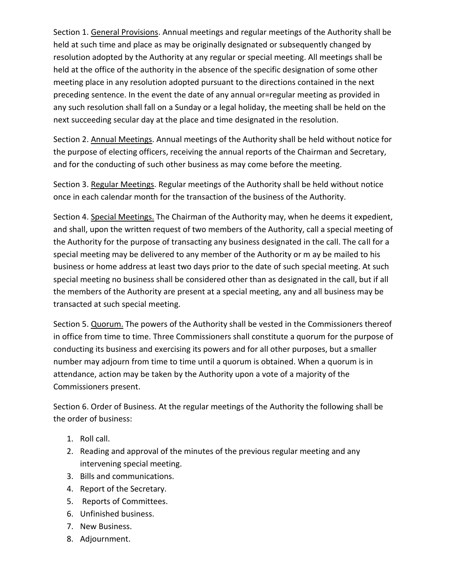Section 1. General Provisions. Annual meetings and regular meetings of the Authority shall be held at such time and place as may be originally designated or subsequently changed by resolution adopted by the Authority at any regular or special meeting. All meetings shall be held at the office of the authority in the absence of the specific designation of some other meeting place in any resolution adopted pursuant to the directions contained in the next preceding sentence. In the event the date of any annual or=regular meeting as provided in any such resolution shall fall on a Sunday or a legal holiday, the meeting shall be held on the next succeeding secular day at the place and time designated in the resolution.

Section 2. Annual Meetings. Annual meetings of the Authority shall be held without notice for the purpose of electing officers, receiving the annual reports of the Chairman and Secretary, and for the conducting of such other business as may come before the meeting.

Section 3. Regular Meetings. Regular meetings of the Authority shall be held without notice once in each calendar month for the transaction of the business of the Authority.

Section 4. Special Meetings. The Chairman of the Authority may, when he deems it expedient, and shall, upon the written request of two members of the Authority, call a special meeting of the Authority for the purpose of transacting any business designated in the call. The call for a special meeting may be delivered to any member of the Authority or m ay be mailed to his business or home address at least two days prior to the date of such special meeting. At such special meeting no business shall be considered other than as designated in the call, but if all the members of the Authority are present at a special meeting, any and all business may be transacted at such special meeting.

Section 5. Quorum. The powers of the Authority shall be vested in the Commissioners thereof in office from time to time. Three Commissioners shall constitute a quorum for the purpose of conducting its business and exercising its powers and for all other purposes, but a smaller number may adjourn from time to time until a quorum is obtained. When a quorum is in attendance, action may be taken by the Authority upon a vote of a majority of the Commissioners present.

Section 6. Order of Business. At the regular meetings of the Authority the following shall be the order of business:

- 1. Roll call.
- 2. Reading and approval of the minutes of the previous regular meeting and any intervening special meeting.
- 3. Bills and communications.
- 4. Report of the Secretary.
- 5. Reports of Committees.
- 6. Unfinished business.
- 7. New Business.
- 8. Adjournment.